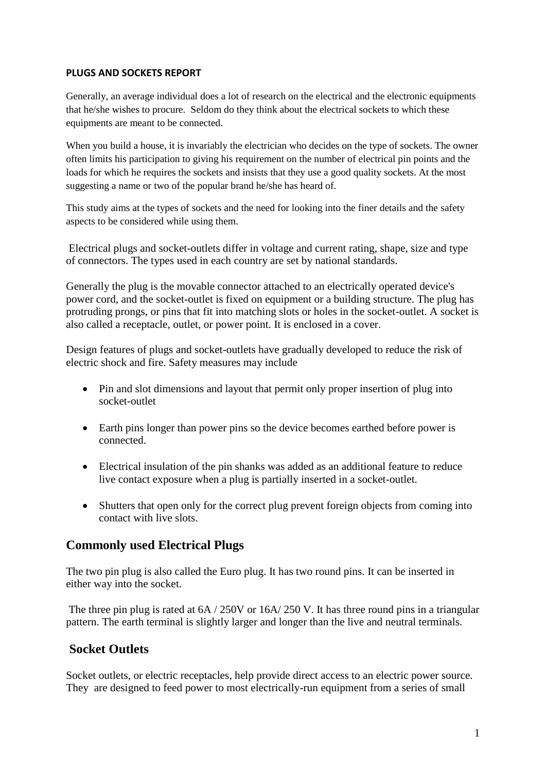### **PLUGS AND SOCKETS REPORT**

Generally, an average individual does a lot of research on the electrical and the electronic equipments that he/she wishes to procure. Seldom do they think about the electrical sockets to which these equipments are meant to be connected.

When you build a house, it is invariably the electrician who decides on the type of sockets. The owner often limits his participation to giving his requirement on the number of electrical pin points and the loads for which he requires the sockets and insists that they use a good quality sockets. At the most suggesting a name or two of the popular brand he/she has heard of.

This study aims at the types of sockets and the need for looking into the finer details and the safety aspects to be considered while using them.

Electrical plugs and socket-outlets differ in [voltage](http://en.wikipedia.org/wiki/Voltage) and [current](http://en.wikipedia.org/wiki/Ampere) rating, shape, size and type of connectors. The types used in each country are set by national standards.

Generally the plug is the movable connector attached to an electrically operated device's [power cord,](http://en.wikipedia.org/wiki/Power_cord) and the socket-outlet is fixed on equipment or a building structure. The plug has protruding prongs, or pins that fit into matching slots or holes in the socket-outlet. A socket is also called a receptacle, outlet, or power point. It is enclosed in a cover.

Design features of plugs and socket-outlets have gradually developed to reduce the risk of electric shock and fire. Safety measures may include

- Pin and slot dimensions and layout that permit only proper insertion of plug into socket-outlet
- Earth pins longer than power pins so the device becomes earthed before power is connected.
- Electrical insulation of the pin shanks was added as an additional feature to reduce live contact exposure when a plug is partially inserted in a socket-outlet.
- Shutters that open only for the correct plug prevent foreign objects from coming into contact with live slots.

## **Commonly used Electrical Plugs**

The two pin plug is also called the Euro plug. It has two round pins. It can be inserted in either way into the socket.

The three pin plug is rated at  $6A / 250V$  or  $16A / 250V$ . It has three round pins in a triangular pattern. The earth terminal is slightly larger and longer than the live and neutral terminals.

# **Socket Outlets**

Socket outlets, or electric receptacles, help provide direct access to an electric power source. They are designed to feed power to most electrically-run equipment from a series of small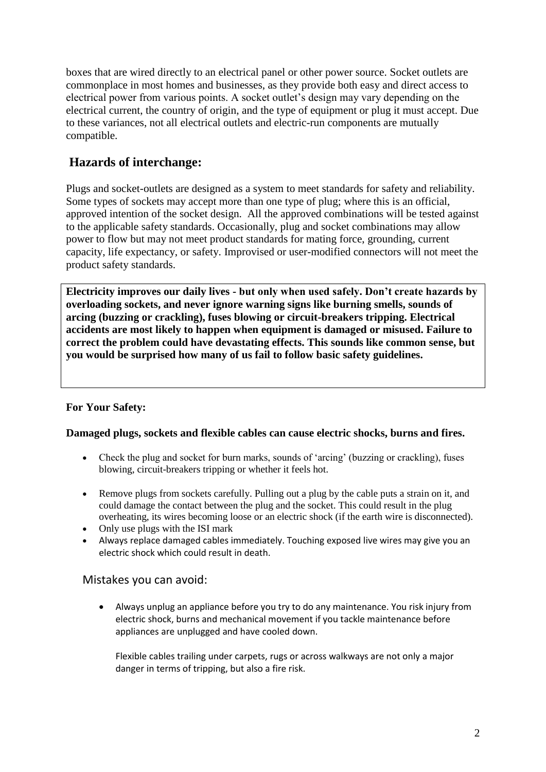boxes that are wired directly to an electrical panel or other power source. Socket outlets are commonplace in most homes and businesses, as they provide both easy and direct access to electrical power from various points. A socket outlet's design may vary depending on the electrical current, the country of origin, and the type of equipment or plug it must accept. Due to these variances, not all electrical outlets and electric-run components are mutually compatible.

# **Hazards of interchange:**

Plugs and socket-outlets are designed as a system to meet standards for safety and reliability. Some types of sockets may accept more than one type of plug; where this is an official, approved intention of the socket design. All the approved combinations will be tested against to the applicable safety standards. Occasionally, plug and socket combinations may allow power to flow but may not meet product standards for mating force, grounding, current capacity, life expectancy, or safety. Improvised or user-modified connectors will not meet the product safety standards.

**Electricity improves our daily lives - but only when used safely. Don't create hazards by overloading sockets, and never ignore warning signs like burning smells, sounds of arcing (buzzing or crackling), fuses blowing or circuit-breakers tripping. Electrical accidents are most likely to happen when equipment is damaged or misused. Failure to correct the problem could have devastating effects. This sounds like common sense, but you would be surprised how many of us fail to follow basic safety guidelines.**

## **For Your Safety:**

### **Damaged plugs, sockets and flexible cables can cause electric shocks, burns and fires.**

- Check the plug and socket for burn marks, sounds of 'arcing' (buzzing or crackling), fuses blowing, circuit-breakers tripping or whether it feels hot.
- Remove plugs from sockets carefully. Pulling out a plug by the cable puts a strain on it, and could damage the contact between the plug and the socket. This could result in the plug overheating, its wires becoming loose or an electric shock (if the earth wire is disconnected).
- Only use plugs with the ISI mark
- Always replace damaged cables immediately. Touching exposed live wires may give you an electric shock which could result in death.

### Mistakes you can avoid:

 Always unplug an appliance before you try to do any maintenance. You risk injury from electric shock, burns and mechanical movement if you tackle maintenance before appliances are unplugged and have cooled down.

Flexible cables trailing under carpets, rugs or across walkways are not only a major danger in terms of tripping, but also a fire risk.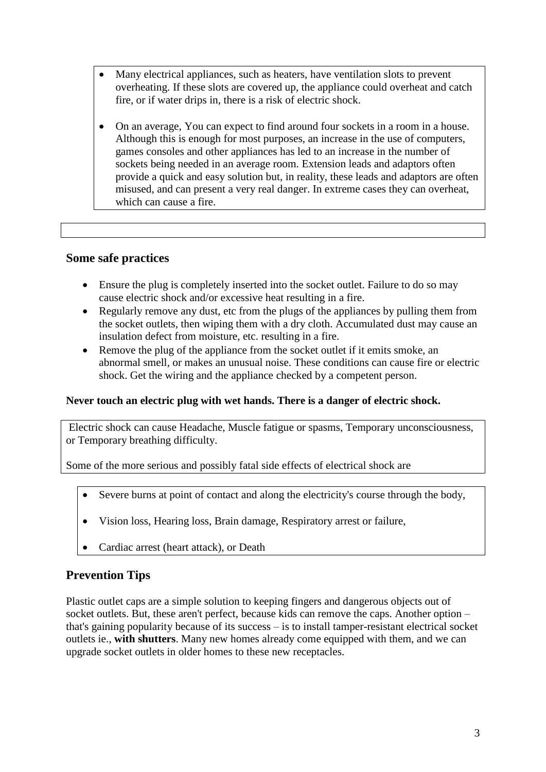- Many electrical appliances, such as heaters, have ventilation slots to prevent overheating. If these slots are covered up, the appliance could overheat and catch fire, or if water drips in, there is a risk of electric shock.
- On an average, You can expect to find around four sockets in a room in a house. Although this is enough for most purposes, an increase in the use of computers, games consoles and other appliances has led to an increase in the number of sockets being needed in an average room. Extension leads and adaptors often provide a quick and easy solution but, in reality, these leads and adaptors are often misused, and can present a very real danger. In extreme cases they can overheat, which can cause a fire.

### **Some safe practices**

- Ensure the plug is completely inserted into the socket outlet. Failure to do so may cause electric shock and/or excessive heat resulting in a fire.
- Regularly remove any dust, etc from the plugs of the appliances by pulling them from the socket outlets, then wiping them with a dry cloth. Accumulated dust may cause an insulation defect from moisture, etc. resulting in a fire.
- Remove the plug of the appliance from the socket outlet if it emits smoke, an abnormal smell, or makes an unusual noise. These conditions can cause fire or electric shock. Get the wiring and the appliance checked by a competent person.

### **Never touch an electric plug with wet hands. There is a danger of electric shock.**

Electric shock can cause Headache, Muscle fatigue or spasms, Temporary unconsciousness, or Temporary breathing difficulty.

Some of the more serious and possibly fatal side effects of electrical shock are

- Severe burns at point of contact and along the electricity's course through the body,
- Vision loss, Hearing loss, Brain damage, Respiratory arrest or failure,
- Cardiac arrest (heart attack), or Death

## **Prevention Tips**

Plastic outlet caps are a simple solution to keeping fingers and dangerous objects out of socket outlets. But, these aren't perfect, because kids can remove the caps. Another option – that's gaining popularity because of its success – is to install tamper-resistant electrical socket outlets ie., **with shutters**. Many new homes already come equipped with them, and we can upgrade socket outlets in older homes to these new receptacles.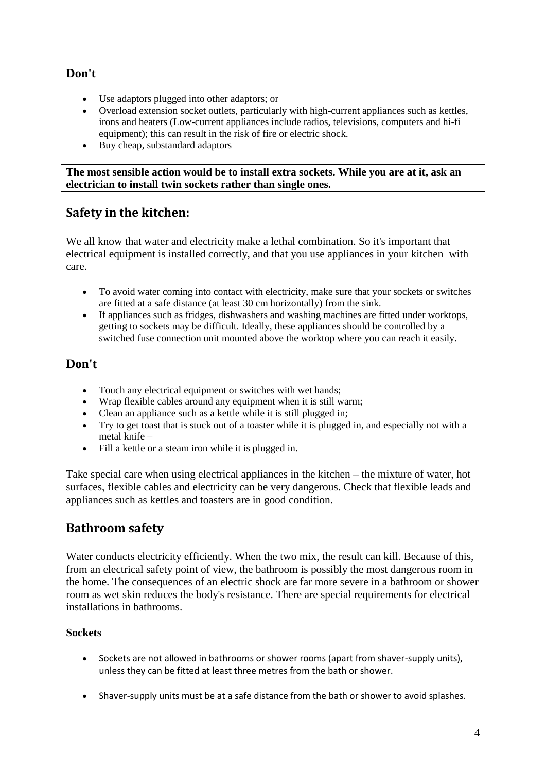## **Don't**

- Use adaptors plugged into other adaptors; or
- Overload extension socket outlets, particularly with high-current appliances such as kettles, irons and heaters (Low-current appliances include radios, televisions, computers and hi-fi equipment); this can result in the risk of fire or electric shock.
- Buy cheap, substandard adaptors

**The most sensible action would be to install extra sockets. While you are at it, ask an electrician to install twin sockets rather than single ones.** 

# **Safety in the kitchen:**

We all know that water and electricity make a lethal combination. So it's important that electrical equipment is installed correctly, and that you use appliances in your kitchen with care.

- To avoid water coming into contact with electricity, make sure that your sockets or switches are fitted at a safe distance (at least 30 cm horizontally) from the sink.
- If appliances such as fridges, dishwashers and washing machines are fitted under worktops, getting to sockets may be difficult. Ideally, these appliances should be controlled by a switched fuse connection unit mounted above the worktop where you can reach it easily.

# **Don't**

- Touch any electrical equipment or switches with wet hands;
- Wrap flexible cables around any equipment when it is still warm;
- Clean an appliance such as a kettle while it is still plugged in;
- Try to get toast that is stuck out of a toaster while it is plugged in, and especially not with a metal knife –
- Fill a kettle or a steam iron while it is plugged in.

Take special care when using electrical appliances in the kitchen – the mixture of water, hot surfaces, flexible cables and electricity can be very dangerous. Check that flexible leads and appliances such as kettles and toasters are in good condition.

# **Bathroom safety**

Water conducts electricity efficiently. When the two mix, the result can kill. Because of this, from an electrical safety point of view, the bathroom is possibly the most dangerous room in the home. The consequences of an electric shock are far more severe in a bathroom or shower room as wet skin reduces the body's resistance. There are special requirements for electrical installations in bathrooms.

### **Sockets**

- Sockets are not allowed in bathrooms or shower rooms (apart from shaver-supply units), unless they can be fitted at least three metres from the bath or shower.
- Shaver-supply units must be at a safe distance from the bath or shower to avoid splashes.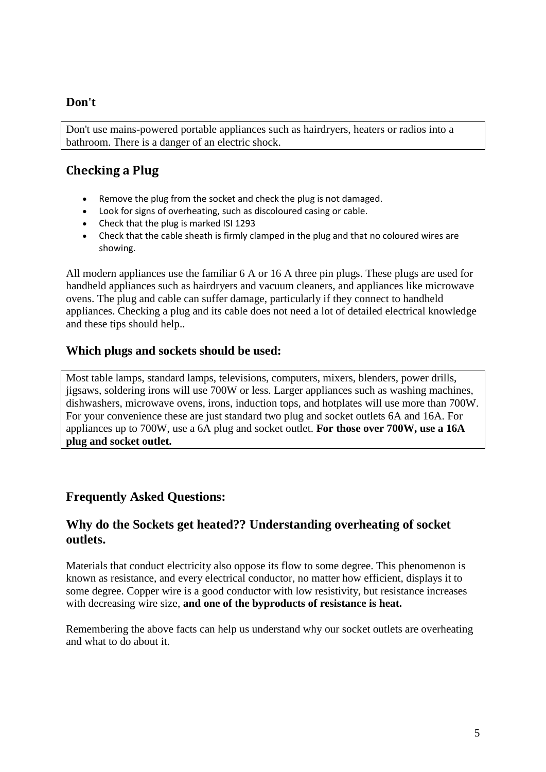## **Don't**

Don't use mains-powered portable appliances such as hairdryers, heaters or radios into a bathroom. There is a danger of an electric shock.

# **Checking a Plug**

- Remove the plug from the socket and check the plug is not damaged.
- Look for signs of overheating, such as discoloured casing or cable.
- Check that the plug is marked ISI 1293
- Check that the cable sheath is firmly clamped in the plug and that no coloured wires are showing.

All modern appliances use the familiar 6 A or 16 A three pin plugs. These plugs are used for handheld appliances such as hairdryers and vacuum cleaners, and appliances like microwave ovens. The plug and cable can suffer damage, particularly if they connect to handheld appliances. Checking a plug and its cable does not need a lot of detailed electrical knowledge and these tips should help..

## **Which plugs and sockets should be used:**

Most table lamps, standard lamps, televisions, computers, mixers, blenders, power drills, jigsaws, soldering irons will use 700W or less. Larger appliances such as washing machines, dishwashers, microwave ovens, irons, induction tops, and hotplates will use more than 700W. For your convenience these are just standard two plug and socket outlets 6A and 16A. For appliances up to 700W, use a 6A plug and socket outlet. **For those over 700W, use a 16A plug and socket outlet.** 

# **Frequently Asked Questions:**

## **Why do the Sockets get heated?? Understanding overheating of socket outlets.**

Materials that conduct electricity also oppose its flow to some degree. This phenomenon is known as resistance, and every electrical conductor, no matter how efficient, displays it to some degree. Copper wire is a good conductor with low resistivity, but resistance increases with decreasing wire size, **and one of the byproducts of resistance is heat.**

Remembering the above facts can help us understand why our socket outlets are overheating and what to do about it.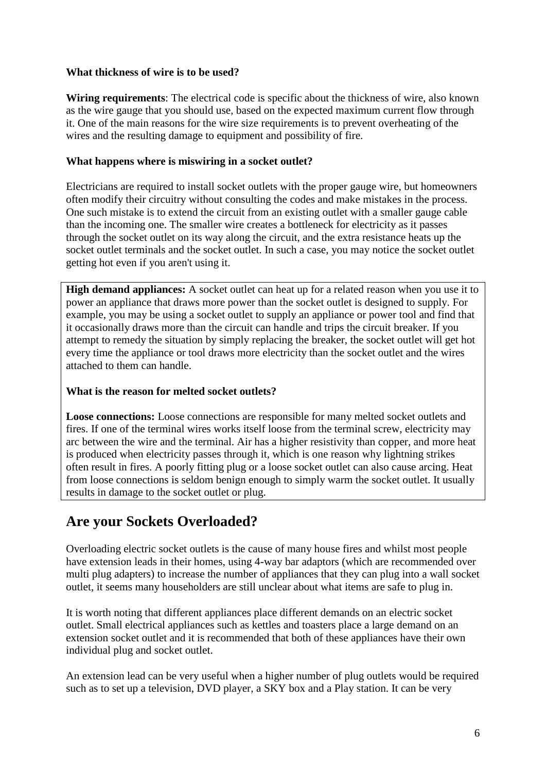### **What thickness of wire is to be used?**

**Wiring requirements**: The electrical code is specific about the thickness of wire, also known as the wire gauge that you should use, based on the expected maximum current flow through it. One of the main reasons for the wire size requirements is to prevent overheating of the wires and the resulting damage to equipment and possibility of fire.

### **What happens where is miswiring in a socket outlet?**

Electricians are required to install socket outlets with the proper gauge wire, but homeowners often modify their circuitry without consulting the codes and make mistakes in the process. One such mistake is to extend the circuit from an existing outlet with a smaller gauge cable than the incoming one. The smaller wire creates a bottleneck for electricity as it passes through the socket outlet on its way along the circuit, and the extra resistance heats up the socket outlet terminals and the socket outlet. In such a case, you may notice the socket outlet getting hot even if you aren't using it.

**High demand appliances:** A socket outlet can heat up for a related reason when you use it to power an appliance that draws more power than the socket outlet is designed to supply. For example, you may be using a socket outlet to supply an appliance or power tool and find that it occasionally draws more than the circuit can handle and trips the circuit breaker. If you attempt to remedy the situation by simply replacing the breaker, the socket outlet will get hot every time the appliance or tool draws more electricity than the socket outlet and the wires attached to them can handle.

### **What is the reason for melted socket outlets?**

**Loose connections:** Loose connections are responsible for many melted socket outlets and fires. If one of the terminal wires works itself loose from the terminal screw, electricity may arc between the wire and the terminal. Air has a higher resistivity than copper, and more heat is produced when electricity passes through it, which is one reason why lightning strikes often result in fires. A poorly fitting plug or a loose socket outlet can also cause arcing. Heat from loose connections is seldom benign enough to simply warm the socket outlet. It usually results in damage to the socket outlet or plug.

# **Are your Sockets Overloaded?**

Overloading electric socket outlets is the cause of many house fires and whilst most people have extension leads in their homes, using 4-way bar adaptors (which are recommended over multi plug adapters) to increase the number of appliances that they can plug into a wall socket outlet, it seems many householders are still unclear about what items are safe to plug in.

It is worth noting that different appliances place different demands on an electric socket outlet. Small electrical appliances such as kettles and toasters place a large demand on an extension socket outlet and it is recommended that both of these appliances have their own individual plug and socket outlet.

An extension lead can be very useful when a higher number of plug outlets would be required such as to set up a television, DVD player, a SKY box and a Play station. It can be very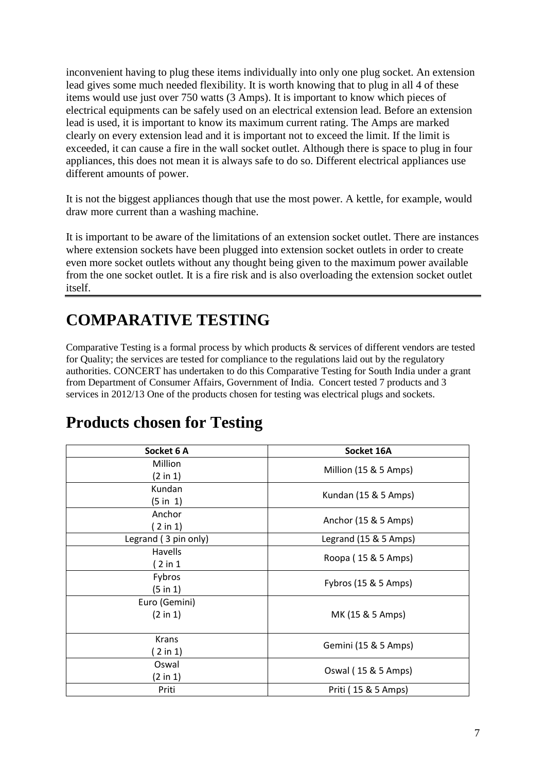inconvenient having to plug these items individually into only one plug socket. An extension lead gives some much needed flexibility. It is worth knowing that to plug in all 4 of these items would use just over 750 watts (3 Amps). It is important to know which pieces of electrical equipments can be safely used on an electrical extension lead. Before an extension lead is used, it is important to know its maximum current rating. The Amps are marked clearly on every extension lead and it is important not to exceed the limit. If the limit is exceeded, it can cause a fire in the wall socket outlet. Although there is space to plug in four appliances, this does not mean it is always safe to do so. Different electrical appliances use different amounts of power.

It is not the biggest appliances though that use the most power. A kettle, for example, would draw more current than a washing machine.

It is important to be aware of the limitations of an extension socket outlet. There are instances where extension sockets have been plugged into extension socket outlets in order to create even more socket outlets without any thought being given to the maximum power available from the one socket outlet. It is a fire risk and is also overloading the extension socket outlet itself.

# **COMPARATIVE TESTING**

Comparative Testing is a formal process by which products & services of different vendors are tested for Quality; the services are tested for compliance to the regulations laid out by the regulatory authorities. CONCERT has undertaken to do this Comparative Testing for South India under a grant from Department of Consumer Affairs, Government of India. Concert tested 7 products and 3 services in 2012/13 One of the products chosen for testing was electrical plugs and sockets.

| Socket 6 A           | Socket 16A            |  |  |
|----------------------|-----------------------|--|--|
| <b>Million</b>       | Million (15 & 5 Amps) |  |  |
| (2 in 1)             |                       |  |  |
| Kundan               | Kundan (15 & 5 Amps)  |  |  |
| (5 in 1)             |                       |  |  |
| Anchor               | Anchor (15 & 5 Amps)  |  |  |
| ( 2 in 1)            |                       |  |  |
| Legrand (3 pin only) | Legrand (15 & 5 Amps) |  |  |
| Havells              |                       |  |  |
| (2 in 1)             | Roopa (15 & 5 Amps)   |  |  |
| Fybros               |                       |  |  |
| (5 in 1)             | Fybros (15 & 5 Amps)  |  |  |
| Euro (Gemini)        |                       |  |  |
| $(2 \text{ in } 1)$  | MK (15 & 5 Amps)      |  |  |
|                      |                       |  |  |
| Krans                |                       |  |  |
| (2 in 1)             | Gemini (15 & 5 Amps)  |  |  |
| Oswal                |                       |  |  |
| (2 in 1)             | Oswal (15 & 5 Amps)   |  |  |
| Priti                | Priti (15 & 5 Amps)   |  |  |

# **Products chosen for Testing**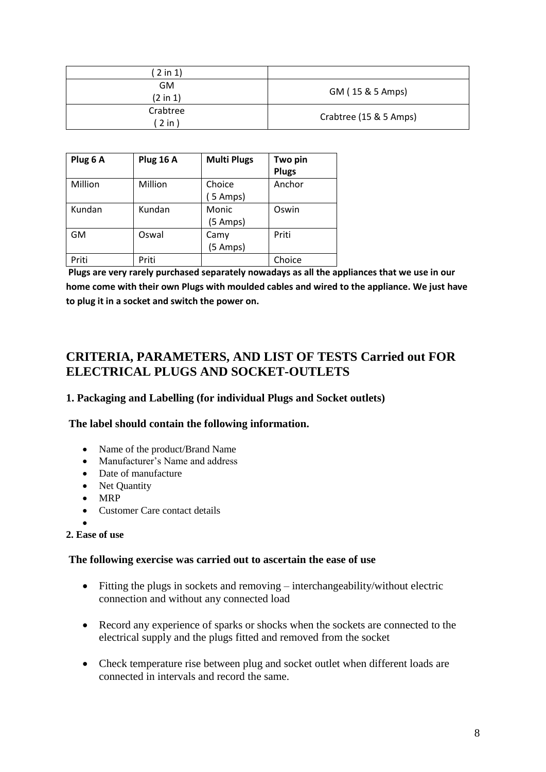| $2$ in $1)$                      |                        |
|----------------------------------|------------------------|
| <b>GM</b><br>$(2 \text{ in } 1)$ | GM (15 & 5 Amps)       |
| Crabtree<br>$2$ in               | Crabtree (15 & 5 Amps) |

| Plug 6 A  | Plug 16 A | <b>Multi Plugs</b>           | Two pin<br><b>Plugs</b> |
|-----------|-----------|------------------------------|-------------------------|
| Million   | Million   | Choice<br>$(5 \text{ Amps})$ | Anchor                  |
| Kundan    | Kundan    | Monic<br>$(5 \text{ Amps})$  | Oswin                   |
| <b>GM</b> | Oswal     | Camy<br>$(5 \text{ Amps})$   | Priti                   |
| Priti     | Priti     |                              | Choice                  |

**Plugs are very rarely purchased separately nowadays as all the appliances that we use in our home come with their own Plugs with moulded cables and wired to the appliance. We just have to plug it in a socket and switch the power on.**

# **CRITERIA, PARAMETERS, AND LIST OF TESTS Carried out FOR ELECTRICAL PLUGS AND SOCKET-OUTLETS**

### **1. Packaging and Labelling (for individual Plugs and Socket outlets)**

### **The label should contain the following information.**

- Name of the product/Brand Name
- Manufacturer's Name and address
- Date of manufacture
- Net Quantity
- $\bullet$  MRP
- Customer Care contact details
- $\bullet$

### **2. Ease of use**

### **The following exercise was carried out to ascertain the ease of use**

- Fitting the plugs in sockets and removing interchangeability/without electric connection and without any connected load
- Record any experience of sparks or shocks when the sockets are connected to the electrical supply and the plugs fitted and removed from the socket
- Check temperature rise between plug and socket outlet when different loads are connected in intervals and record the same.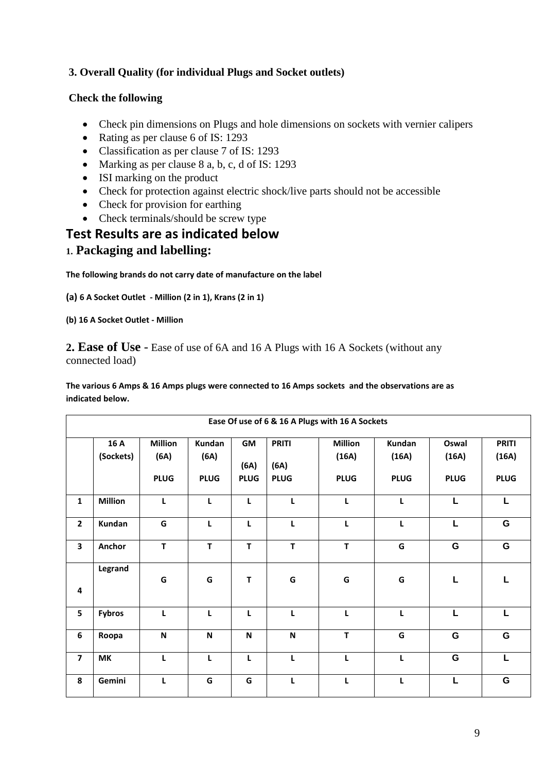## **3. Overall Quality (for individual Plugs and Socket outlets)**

### **Check the following**

- Check pin dimensions on Plugs and hole dimensions on sockets with vernier calipers
- Rating as per clause 6 of IS: 1293
- Classification as per clause 7 of IS: 1293
- Marking as per clause 8 a, b, c, d of IS: 1293
- ISI marking on the product
- Check for protection against electric shock/live parts should not be accessible
- Check for provision for earthing
- Check terminals/should be screw type

# **Test Results are as indicated below**

## **1. Packaging and labelling:**

**The following brands do not carry date of manufacture on the label**

**(a) 6 A Socket Outlet - Million (2 in 1), Krans (2 in 1)**

**(b) 16 A Socket Outlet - Million** 

**2. Ease of Use** - Ease of use of 6A and 16 A Plugs with 16 A Sockets (without any connected load)

**The various 6 Amps & 16 Amps plugs were connected to 16 Amps sockets and the observations are as indicated below.**

| Ease Of use of 6 & 16 A Plugs with 16 A Sockets |                   |                                       |                               |                           |                                     |                                        |                                |                               |                                      |
|-------------------------------------------------|-------------------|---------------------------------------|-------------------------------|---------------------------|-------------------------------------|----------------------------------------|--------------------------------|-------------------------------|--------------------------------------|
|                                                 | 16 A<br>(Sockets) | <b>Million</b><br>(6A)<br><b>PLUG</b> | Kundan<br>(6A)<br><b>PLUG</b> | GM<br>(6A)<br><b>PLUG</b> | <b>PRITI</b><br>(6A)<br><b>PLUG</b> | <b>Million</b><br>(16A)<br><b>PLUG</b> | Kundan<br>(16A)<br><b>PLUG</b> | Oswal<br>(16A)<br><b>PLUG</b> | <b>PRITI</b><br>(16A)<br><b>PLUG</b> |
| $\mathbf{1}$                                    | <b>Million</b>    | L                                     | L                             | L                         | L                                   | L                                      | L                              | L                             | L                                    |
| $\overline{2}$                                  | Kundan            | G                                     | L                             | L                         | L                                   | L                                      | L                              | L                             | G                                    |
| 3                                               | Anchor            | T                                     | T                             | T                         | $\mathsf T$                         | T                                      | G                              | G                             | G                                    |
| 4                                               | Legrand           | G                                     | G                             | Т                         | G                                   | G                                      | G                              | L                             | L                                    |
| 5                                               | <b>Fybros</b>     | L                                     | L                             | L                         | L                                   | L                                      | L                              | L                             | L                                    |
| 6                                               | Roopa             | $\boldsymbol{\mathsf{N}}$             | N                             | ${\sf N}$                 | N                                   | T                                      | G                              | G                             | G                                    |
| $\overline{\mathbf{z}}$                         | MK                | L                                     | L                             | L                         | L                                   | L                                      | L                              | G                             | L                                    |
| 8                                               | Gemini            | $\mathbf{L}$                          | G                             | G                         | L                                   | L                                      | L                              | L                             | G                                    |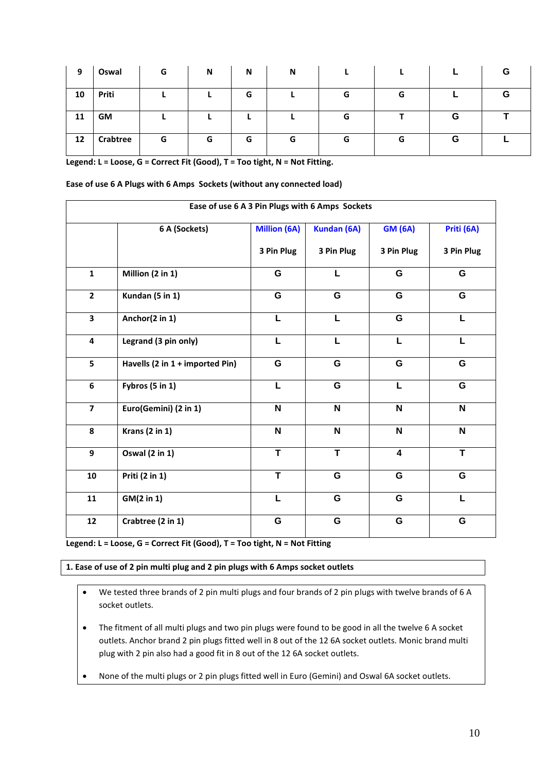| 9  | Oswal           | G | N | N | N |   |   |   | G |
|----|-----------------|---|---|---|---|---|---|---|---|
| 10 | Priti           |   |   | G |   | G | G |   | G |
| 11 | GM              |   |   |   |   | G |   | G |   |
| 12 | <b>Crabtree</b> | G | G | G | G | G | G | G |   |

**Legend: L = Loose, G = Correct Fit (Good), T = Too tight, N = Not Fitting.** 

| Ease of use 6 A Plugs with 6 Amps Sockets (without any connected load) |  |  |
|------------------------------------------------------------------------|--|--|
|------------------------------------------------------------------------|--|--|

| Ease of use 6 A 3 Pin Plugs with 6 Amps Sockets |                                 |                             |             |                         |                           |  |
|-------------------------------------------------|---------------------------------|-----------------------------|-------------|-------------------------|---------------------------|--|
|                                                 | 6 A (Sockets)                   | Million (6A)<br>Kundan (6A) |             | <b>GM (6A)</b>          | Priti (6A)                |  |
|                                                 |                                 | 3 Pin Plug                  | 3 Pin Plug  | 3 Pin Plug              | 3 Pin Plug                |  |
| $\mathbf{1}$                                    | Million (2 in 1)                | G                           | L           | G                       | G                         |  |
| $\overline{2}$                                  | Kundan (5 in 1)                 | G                           | G           | G                       | G                         |  |
| $\mathbf{3}$                                    | Anchor(2 in 1)                  | L                           | L           | G                       | L                         |  |
| 4                                               | Legrand (3 pin only)            | L                           | L           | L                       | L                         |  |
| 5                                               | Havells (2 in 1 + imported Pin) | G                           | G           | G                       | G                         |  |
| 6                                               | Fybros (5 in 1)                 | L                           | G           | L                       | G                         |  |
| $\overline{\mathbf{z}}$                         | Euro(Gemini) (2 in 1)           | $\mathbf N$                 | $\mathbf N$ | N                       | $\mathbf N$               |  |
| 8                                               | <b>Krans (2 in 1)</b>           | N                           | $\mathbf N$ | N                       | $\boldsymbol{\mathsf{N}}$ |  |
| 9                                               | Oswal (2 in 1)                  | T                           | T           | $\overline{\mathbf{4}}$ | T                         |  |
| 10                                              | Priti (2 in 1)                  | T                           | G           | G                       | G                         |  |
| 11                                              | GM(2 in 1)                      | L                           | G           | G                       | L                         |  |
| 12                                              | Crabtree (2 in 1)               | G                           | G           | G                       | G                         |  |

**Legend: L = Loose, G = Correct Fit (Good), T = Too tight, N = Not Fitting**

### **1. Ease of use of 2 pin multi plug and 2 pin plugs with 6 Amps socket outlets**

- We tested three brands of 2 pin multi plugs and four brands of 2 pin plugs with twelve brands of 6 A socket outlets.
- The fitment of all multi plugs and two pin plugs were found to be good in all the twelve 6 A socket outlets. Anchor brand 2 pin plugs fitted well in 8 out of the 12 6A socket outlets. Monic brand multi plug with 2 pin also had a good fit in 8 out of the 12 6A socket outlets.
- None of the multi plugs or 2 pin plugs fitted well in Euro (Gemini) and Oswal 6A socket outlets.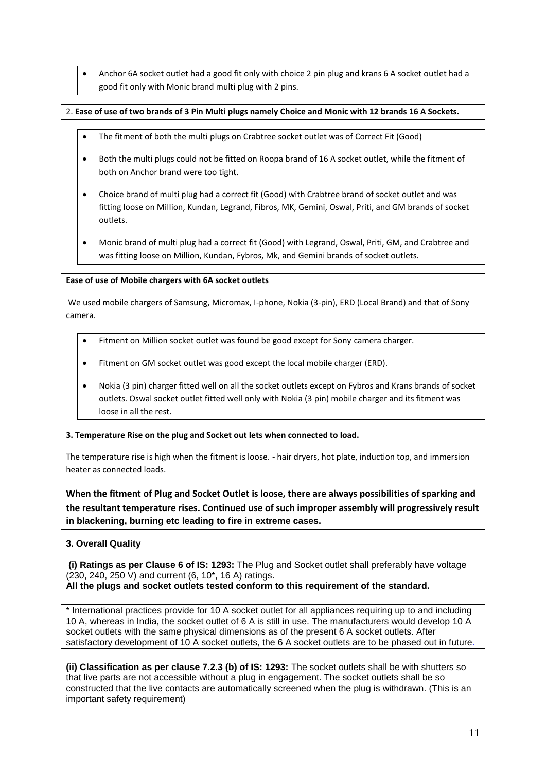Anchor 6A socket outlet had a good fit only with choice 2 pin plug and krans 6 A socket outlet had a good fit only with Monic brand multi plug with 2 pins.

### 2. **Ease of use of two brands of 3 Pin Multi plugs namely Choice and Monic with 12 brands 16 A Sockets.**

- The fitment of both the multi plugs on Crabtree socket outlet was of Correct Fit (Good)
- Both the multi plugs could not be fitted on Roopa brand of 16 A socket outlet, while the fitment of both on Anchor brand were too tight.
- Choice brand of multi plug had a correct fit (Good) with Crabtree brand of socket outlet and was fitting loose on Million, Kundan, Legrand, Fibros, MK, Gemini, Oswal, Priti, and GM brands of socket outlets.
- Monic brand of multi plug had a correct fit (Good) with Legrand, Oswal, Priti, GM, and Crabtree and was fitting loose on Million, Kundan, Fybros, Mk, and Gemini brands of socket outlets.

### **Ease of use of Mobile chargers with 6A socket outlets**

We used mobile chargers of Samsung, Micromax, I-phone, Nokia (3-pin), ERD (Local Brand) and that of Sony camera.

- Fitment on Million socket outlet was found be good except for Sony camera charger.
- Fitment on GM socket outlet was good except the local mobile charger (ERD).
- Nokia (3 pin) charger fitted well on all the socket outlets except on Fybros and Krans brands of socket outlets. Oswal socket outlet fitted well only with Nokia (3 pin) mobile charger and its fitment was loose in all the rest.

#### **3. Temperature Rise on the plug and Socket out lets when connected to load.**

The temperature rise is high when the fitment is loose. - hair dryers, hot plate, induction top, and immersion heater as connected loads.

**When the fitment of Plug and Socket Outlet is loose, there are always possibilities of sparking and the resultant temperature rises. Continued use of such improper assembly will progressively result in blackening, burning etc leading to fire in extreme cases.**

### **3. Overall Quality**

**(i) Ratings as per Clause 6 of IS: 1293:** The Plug and Socket outlet shall preferably have voltage (230, 240, 250 V) and current (6, 10\*, 16 A) ratings. **All the plugs and socket outlets tested conform to this requirement of the standard.**

\* International practices provide for 10 A socket outlet for all appliances requiring up to and including 10 A, whereas in India, the socket outlet of 6 A is still in use. The manufacturers would develop 10 A socket outlets with the same physical dimensions as of the present 6 A socket outlets. After satisfactory development of 10 A socket outlets, the 6 A socket outlets are to be phased out in future.

**(ii) Classification as per clause 7.2.3 (b) of IS: 1293:** The socket outlets shall be with shutters so that live parts are not accessible without a plug in engagement. The socket outlets shall be so constructed that the live contacts are automatically screened when the plug is withdrawn. (This is an important safety requirement)